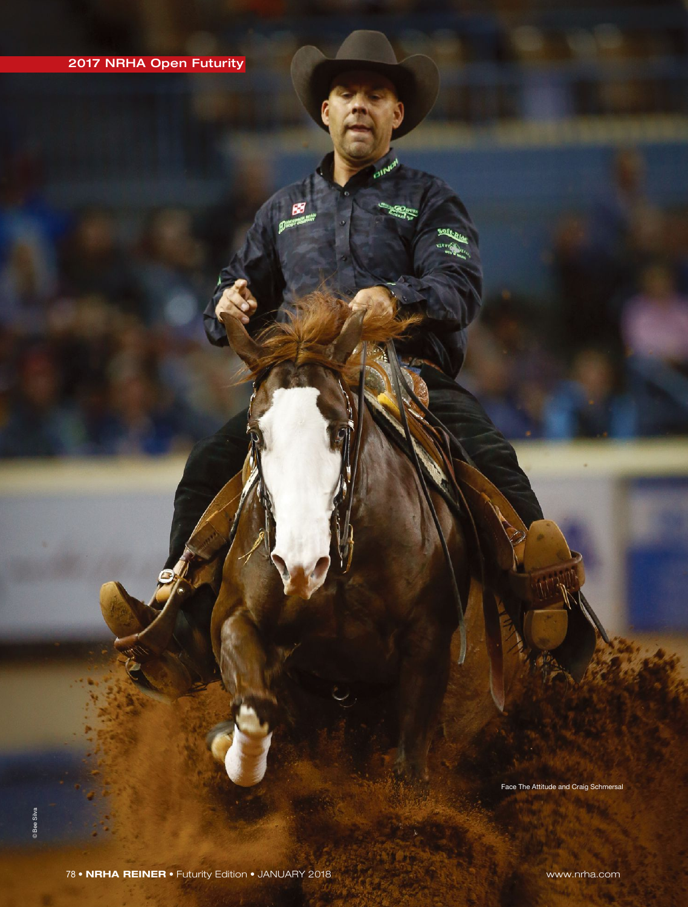Face The Attitude and Craig Schmersal

SOF.

78 • **NRHA REINER** • Futurity Edition • JANUARY 2018 www.nrha.com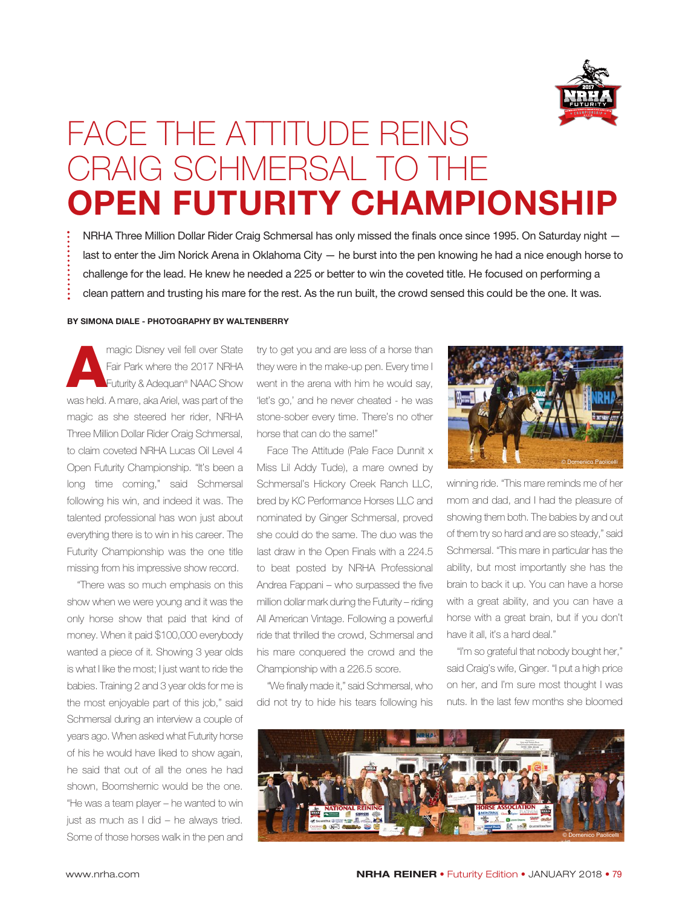

## FACE THE ATTITUDE REINS CRAIG SCHMERSAL TO THE **OPEN FUTURITY CHAMPIONSHIP**

NRHA Three Million Dollar Rider Craig Schmersal has only missed the finals once since 1995. On Saturday night last to enter the Jim Norick Arena in Oklahoma City — he burst into the pen knowing he had a nice enough horse to challenge for the lead. He knew he needed a 225 or better to win the coveted title. He focused on performing a clean pattern and trusting his mare for the rest. As the run built, the crowd sensed this could be the one. It was.

## **BY SIMONA DIALE - PHOTOGRAPHY BY WALTENBERRY**

**Amagic Disney veil fell over State<br>
Fair Park where the 2017 NRHA<br>
Futurity & Adequan® NAAC Show<br>
We had a mare also arial wes part of the** Fair Park where the 2017 NRHA Futurity & Adequan® NAAC Show was held. A mare, aka Ariel, was part of the magic as she steered her rider, NRHA Three Million Dollar Rider Craig Schmersal, to claim coveted NRHA Lucas Oil Level 4 Open Futurity Championship. "It's been a long time coming," said Schmersal following his win, and indeed it was. The talented professional has won just about everything there is to win in his career. The Futurity Championship was the one title missing from his impressive show record.

"There was so much emphasis on this show when we were young and it was the only horse show that paid that kind of money. When it paid \$100,000 everybody wanted a piece of it. Showing 3 year olds is what I like the most; I just want to ride the babies. Training 2 and 3 year olds for me is the most enjoyable part of this job," said Schmersal during an interview a couple of years ago. When asked what Futurity horse of his he would have liked to show again, he said that out of all the ones he had shown, Boomshernic would be the one. "He was a team player – he wanted to win just as much as I did – he always tried. Some of those horses walk in the pen and

try to get you and are less of a horse than they were in the make-up pen. Every time I went in the arena with him he would say, 'let's go,' and he never cheated - he was stone-sober every time. There's no other horse that can do the same!"

Face The Attitude (Pale Face Dunnit x Miss Lil Addy Tude), a mare owned by Schmersal's Hickory Creek Ranch LLC, bred by KC Performance Horses LLC and nominated by Ginger Schmersal, proved she could do the same. The duo was the last draw in the Open Finals with a 224.5 to beat posted by NRHA Professional Andrea Fappani – who surpassed the five million dollar mark during the Futurity – riding All American Vintage. Following a powerful ride that thrilled the crowd, Schmersal and his mare conquered the crowd and the Championship with a 226.5 score.

"We finally made it," said Schmersal, who did not try to hide his tears following his



winning ride. "This mare reminds me of her mom and dad, and I had the pleasure of showing them both. The babies by and out of them try so hard and are so steady," said Schmersal. "This mare in particular has the ability, but most importantly she has the brain to back it up. You can have a horse with a great ability, and you can have a horse with a great brain, but if you don't have it all, it's a hard deal."

"I'm so grateful that nobody bought her," said Craig's wife, Ginger. "I put a high price on her, and I'm sure most thought I was nuts. In the last few months she bloomed

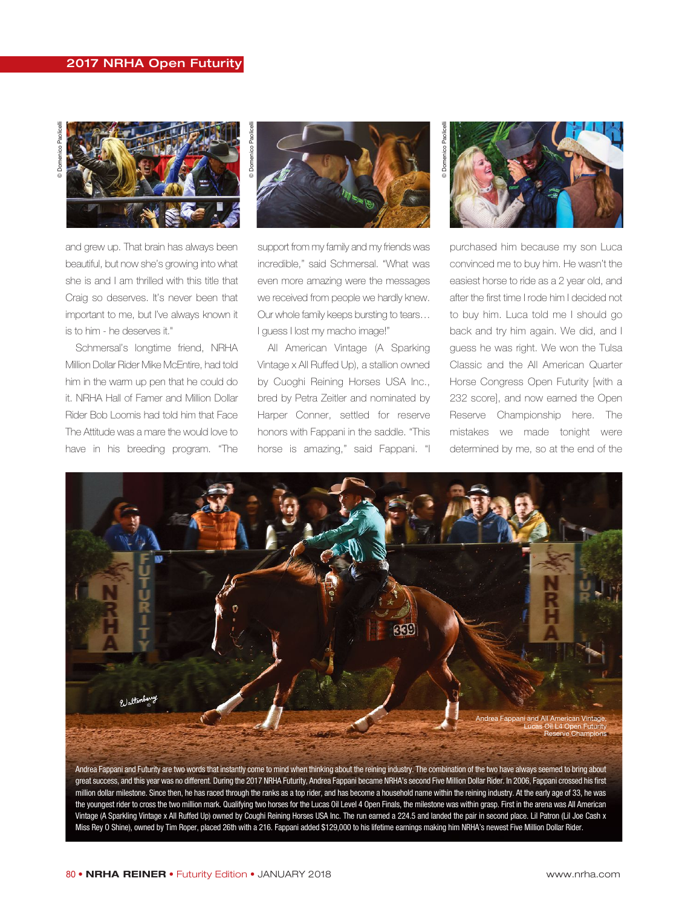## 2017 NRHA Open Futurity



and grew up. That brain has always been beautiful, but now she's growing into what she is and I am thrilled with this title that Craig so deserves. It's never been that important to me, but I've always known it is to him - he deserves it."

Schmersal's longtime friend, NRHA Million Dollar Rider Mike McEntire, had told him in the warm up pen that he could do it. NRHA Hall of Famer and Million Dollar Rider Bob Loomis had told him that Face The Attitude was a mare the would love to have in his breeding program. "The



support from my family and my friends was incredible," said Schmersal. "What was even more amazing were the messages we received from people we hardly knew. Our whole family keeps bursting to tears… I guess I lost my macho image!"

All American Vintage (A Sparking Vintage x All Ruffed Up), a stallion owned by Cuoghi Reining Horses USA Inc., bred by Petra Zeitler and nominated by Harper Conner, settled for reserve honors with Fappani in the saddle. "This horse is amazing," said Fappani. "I



purchased him because my son Luca convinced me to buy him. He wasn't the easiest horse to ride as a 2 year old, and after the first time I rode him I decided not to buy him. Luca told me I should go back and try him again. We did, and I guess he was right. We won the Tulsa Classic and the All American Quarter Horse Congress Open Futurity [with a 232 score], and now earned the Open Reserve Championship here. The mistakes we made tonight were determined by me, so at the end of the



Andrea Fappani and Futurity are two words that instantly come to mind when thinking about the reining industry. The combination of the two have always seemed to bring about great success, and this year was no different. During the 2017 NRHA Futurity, Andrea Fappani became NRHA's second Five Million Dollar Rider. In 2006, Fappani crossed his first million dollar milestone. Since then, he has raced through the ranks as a top rider, and has become a household name within the reining industry. At the early age of 33, he was the youngest rider to cross the two million mark. Qualifying two horses for the Lucas Oil Level 4 Open Finals, the milestone was within grasp. First in the arena was All American Vintage (A Sparkling Vintage x All Ruffed Up) owned by Coughi Reining Horses USA Inc. The run earned a 224.5 and landed the pair in second place. Lil Patron (Lil Joe Cash x Miss Rey O Shine), owned by Tim Roper, placed 26th with a 216. Fappani added \$129,000 to his lifetime earnings making him NRHA's newest Five Million Dollar Rider.